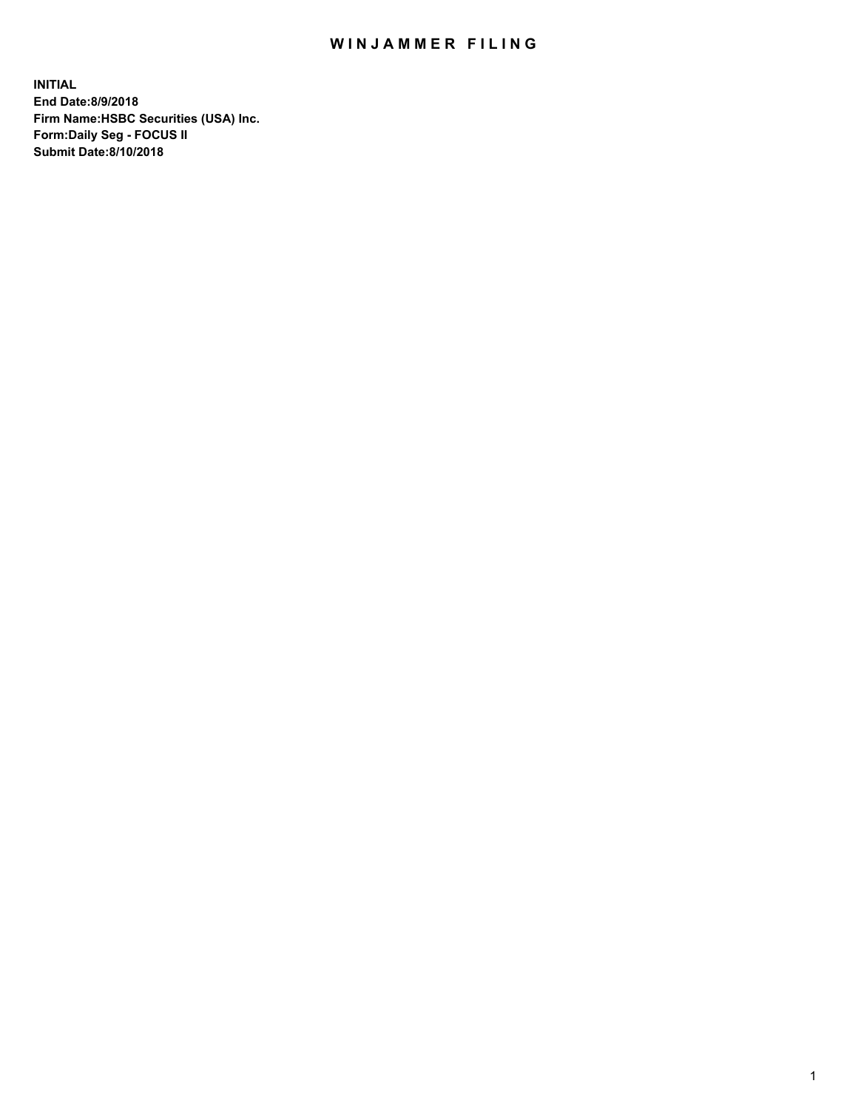## WIN JAMMER FILING

**INITIAL End Date:8/9/2018 Firm Name:HSBC Securities (USA) Inc. Form:Daily Seg - FOCUS II Submit Date:8/10/2018**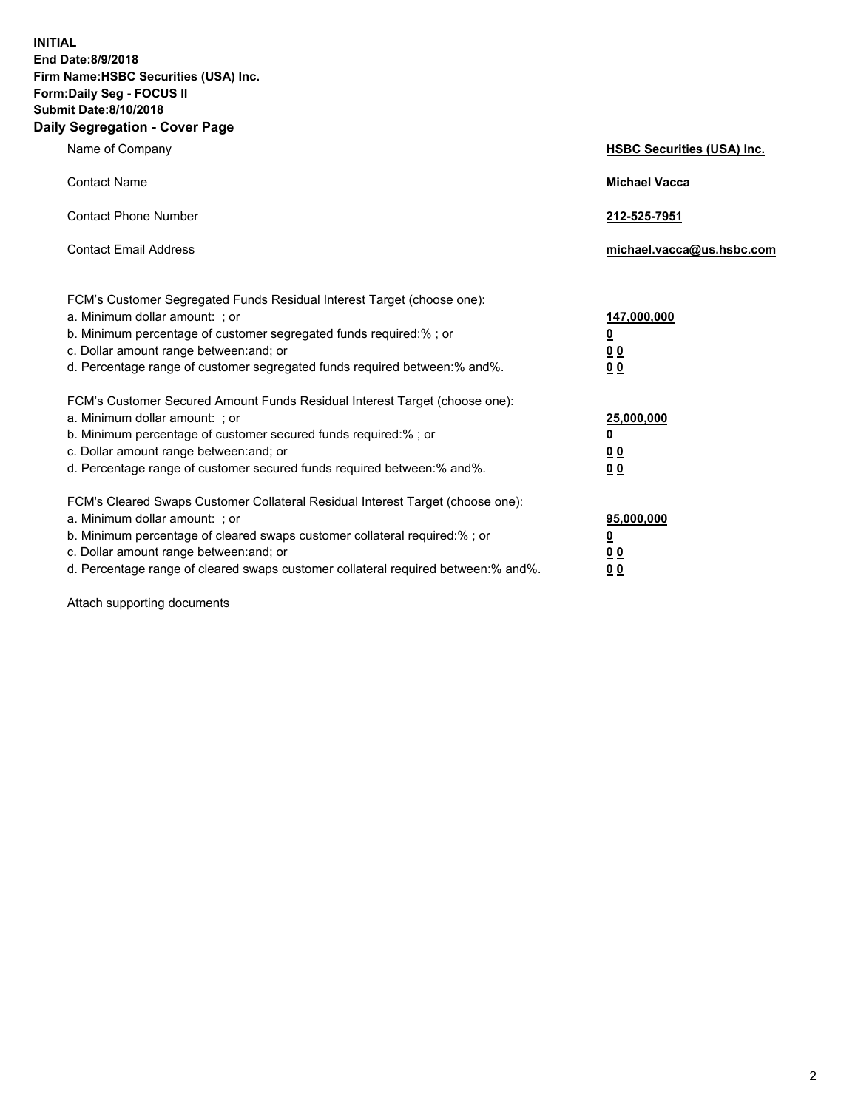**INITIAL End Date:8/9/2018 Firm Name:HSBC Securities (USA) Inc. Form:Daily Seg - FOCUS II Submit Date:8/10/2018 Daily Segregation - Cover Page**

| Name of Company                                                                                                                                                                                                                                                                                                                | <b>HSBC Securities (USA) Inc.</b>                                           |
|--------------------------------------------------------------------------------------------------------------------------------------------------------------------------------------------------------------------------------------------------------------------------------------------------------------------------------|-----------------------------------------------------------------------------|
| <b>Contact Name</b>                                                                                                                                                                                                                                                                                                            | <b>Michael Vacca</b>                                                        |
| <b>Contact Phone Number</b>                                                                                                                                                                                                                                                                                                    | 212-525-7951                                                                |
| <b>Contact Email Address</b>                                                                                                                                                                                                                                                                                                   | michael.vacca@us.hsbc.com                                                   |
| FCM's Customer Segregated Funds Residual Interest Target (choose one):<br>a. Minimum dollar amount: ; or<br>b. Minimum percentage of customer segregated funds required:% ; or<br>c. Dollar amount range between: and; or<br>d. Percentage range of customer segregated funds required between:% and%.                         | 147,000,000<br>$\underline{\mathbf{0}}$<br>0 <sub>0</sub><br>0 <sub>0</sub> |
| FCM's Customer Secured Amount Funds Residual Interest Target (choose one):<br>a. Minimum dollar amount: ; or<br>b. Minimum percentage of customer secured funds required:%; or<br>c. Dollar amount range between: and; or<br>d. Percentage range of customer secured funds required between:% and%.                            | 25,000,000<br>$\underline{\mathbf{0}}$<br>0 <sub>0</sub><br>00              |
| FCM's Cleared Swaps Customer Collateral Residual Interest Target (choose one):<br>a. Minimum dollar amount: ; or<br>b. Minimum percentage of cleared swaps customer collateral required:% ; or<br>c. Dollar amount range between: and; or<br>d. Percentage range of cleared swaps customer collateral required between:% and%. | 95,000,000<br><u>0</u><br><u>00</u><br>00                                   |

Attach supporting documents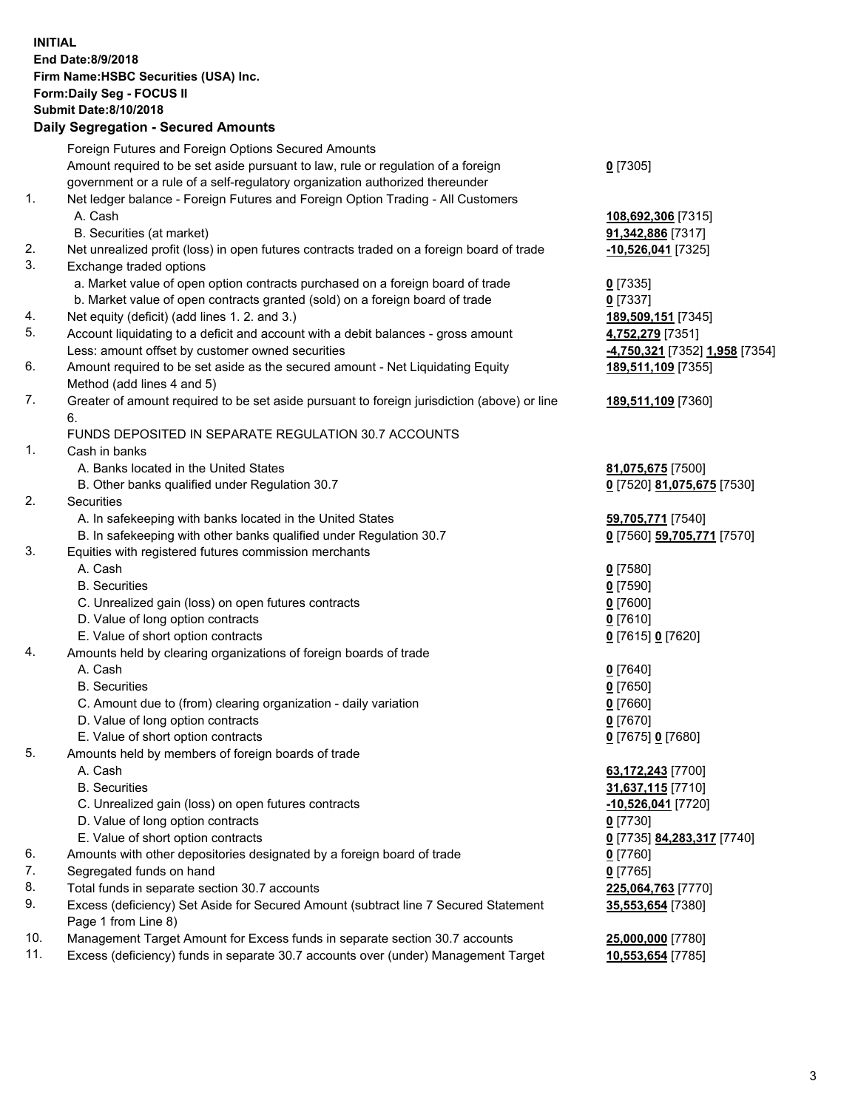**INITIAL End Date:8/9/2018 Firm Name:HSBC Securities (USA) Inc. Form:Daily Seg - FOCUS II Submit Date:8/10/2018 Daily Segregation - Secured Amounts** Foreign Futures and Foreign Options Secured Amounts Amount required to be set aside pursuant to law, rule or regulation of a foreign government or a rule of a self-regulatory organization authorized thereunder **0** [7305] 1. Net ledger balance - Foreign Futures and Foreign Option Trading - All Customers A. Cash **108,692,306** [7315] B. Securities (at market) **91,342,886** [7317] 2. Net unrealized profit (loss) in open futures contracts traded on a foreign board of trade **-10,526,041** [7325] 3. Exchange traded options a. Market value of open option contracts purchased on a foreign board of trade **0** [7335] b. Market value of open contracts granted (sold) on a foreign board of trade **0** [7337] 4. Net equity (deficit) (add lines 1. 2. and 3.) **189,509,151** [7345] 5. Account liquidating to a deficit and account with a debit balances - gross amount **4,752,279** [7351] Less: amount offset by customer owned securities **-4,750,321** [7352] **1,958** [7354] 6. Amount required to be set aside as the secured amount - Net Liquidating Equity Method (add lines 4 and 5) **189,511,109** [7355] 7. Greater of amount required to be set aside pursuant to foreign jurisdiction (above) or line 6. **189,511,109** [7360] FUNDS DEPOSITED IN SEPARATE REGULATION 30.7 ACCOUNTS 1. Cash in banks A. Banks located in the United States **81,075,675** [7500] B. Other banks qualified under Regulation 30.7 **0** [7520] **81,075,675** [7530] 2. Securities A. In safekeeping with banks located in the United States **59,705,771** [7540] B. In safekeeping with other banks qualified under Regulation 30.7 **0** [7560] **59,705,771** [7570] 3. Equities with registered futures commission merchants A. Cash **0** [7580] B. Securities **0** [7590] C. Unrealized gain (loss) on open futures contracts **0** [7600] D. Value of long option contracts **0** [7610] E. Value of short option contracts **0** [7615] **0** [7620] 4. Amounts held by clearing organizations of foreign boards of trade A. Cash **0** [7640] B. Securities **0** [7650] C. Amount due to (from) clearing organization - daily variation **0** [7660] D. Value of long option contracts **0** [7670] E. Value of short option contracts **0** [7675] **0** [7680] 5. Amounts held by members of foreign boards of trade A. Cash **63,172,243** [7700] B. Securities **31,637,115** [7710] C. Unrealized gain (loss) on open futures contracts **-10,526,041** [7720] D. Value of long option contracts **0** [7730] E. Value of short option contracts **0** [7735] **84,283,317** [7740] 6. Amounts with other depositories designated by a foreign board of trade **0** [7760] 7. Segregated funds on hand **0** [7765] 8. Total funds in separate section 30.7 accounts **225,064,763** [7770]

9. Excess (deficiency) Set Aside for Secured Amount (subtract line 7 Secured Statement Page 1 from Line 8)

10. Management Target Amount for Excess funds in separate section 30.7 accounts **25,000,000** [7780]

11. Excess (deficiency) funds in separate 30.7 accounts over (under) Management Target **10,553,654** [7785]

3

**35,553,654** [7380]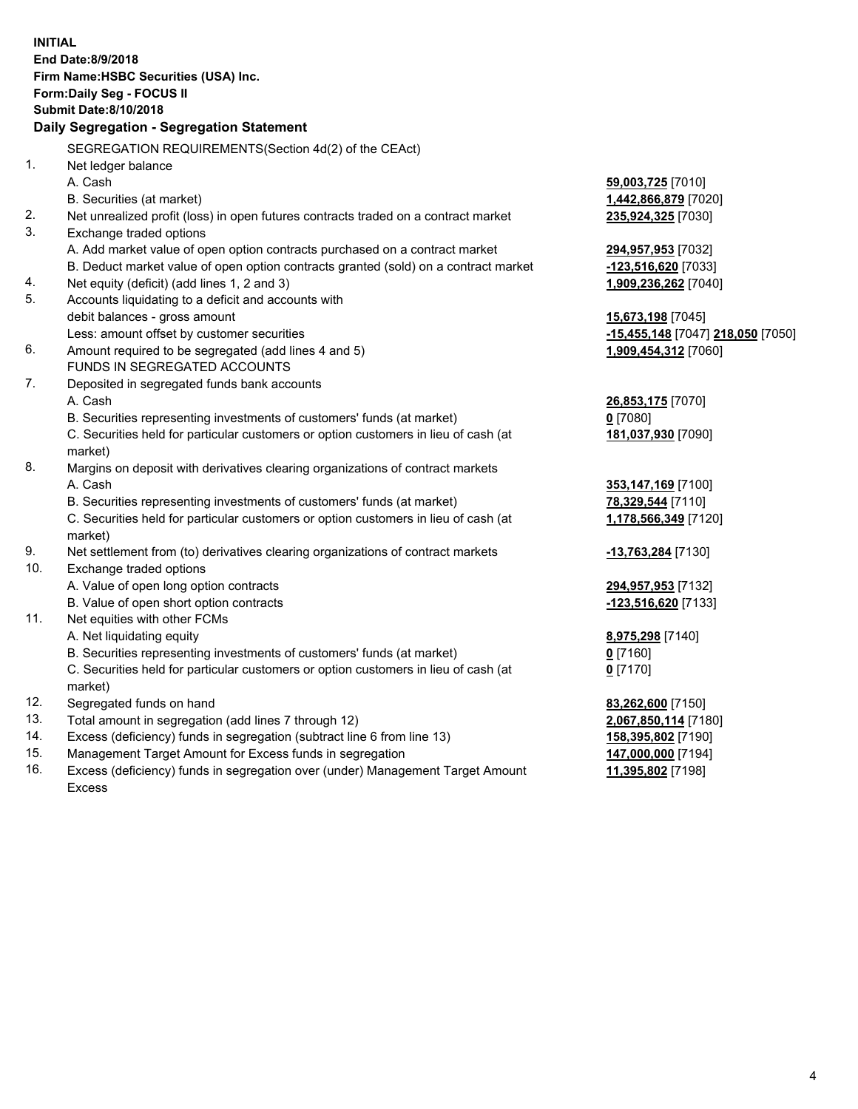|     | <b>INITIAL</b><br>End Date:8/9/2018<br>Firm Name: HSBC Securities (USA) Inc.<br>Form: Daily Seg - FOCUS II<br><b>Submit Date:8/10/2018</b><br>Daily Segregation - Segregation Statement |                                           |
|-----|-----------------------------------------------------------------------------------------------------------------------------------------------------------------------------------------|-------------------------------------------|
|     | SEGREGATION REQUIREMENTS(Section 4d(2) of the CEAct)                                                                                                                                    |                                           |
| 1.  | Net ledger balance                                                                                                                                                                      |                                           |
|     | A. Cash                                                                                                                                                                                 | 59,003,725 [7010]                         |
|     | B. Securities (at market)                                                                                                                                                               | 1,442,866,879 [7020]                      |
| 2.  | Net unrealized profit (loss) in open futures contracts traded on a contract market                                                                                                      | 235,924,325 [7030]                        |
| 3.  | Exchange traded options                                                                                                                                                                 |                                           |
|     | A. Add market value of open option contracts purchased on a contract market                                                                                                             | 294,957,953 [7032]                        |
|     | B. Deduct market value of open option contracts granted (sold) on a contract market                                                                                                     | -123,516,620 [7033]                       |
| 4.  | Net equity (deficit) (add lines 1, 2 and 3)                                                                                                                                             | 1,909,236,262 [7040]                      |
| 5.  | Accounts liquidating to a deficit and accounts with                                                                                                                                     |                                           |
|     | debit balances - gross amount                                                                                                                                                           | 15,673,198 [7045]                         |
|     | Less: amount offset by customer securities                                                                                                                                              | -15,455,148 [7047] 218,050 [7050]         |
| 6.  | Amount required to be segregated (add lines 4 and 5)                                                                                                                                    | 1,909,454,312 [7060]                      |
|     | FUNDS IN SEGREGATED ACCOUNTS                                                                                                                                                            |                                           |
| 7.  | Deposited in segregated funds bank accounts                                                                                                                                             |                                           |
|     | A. Cash                                                                                                                                                                                 | 26,853,175 [7070]                         |
|     | B. Securities representing investments of customers' funds (at market)                                                                                                                  | $0$ [7080]                                |
|     | C. Securities held for particular customers or option customers in lieu of cash (at                                                                                                     | 181,037,930 [7090]                        |
|     | market)                                                                                                                                                                                 |                                           |
| 8.  | Margins on deposit with derivatives clearing organizations of contract markets                                                                                                          |                                           |
|     | A. Cash                                                                                                                                                                                 | 353,147,169 [7100]                        |
|     | B. Securities representing investments of customers' funds (at market)                                                                                                                  | 78,329,544 [7110]                         |
|     | C. Securities held for particular customers or option customers in lieu of cash (at                                                                                                     | 1,178,566,349 [7120]                      |
|     | market)                                                                                                                                                                                 |                                           |
| 9.  | Net settlement from (to) derivatives clearing organizations of contract markets                                                                                                         | -13,763,284 [7130]                        |
| 10. | Exchange traded options                                                                                                                                                                 |                                           |
|     | A. Value of open long option contracts                                                                                                                                                  | 294,957,953 [7132]                        |
|     | B. Value of open short option contracts                                                                                                                                                 | <u>-123,516,620</u> [7133]                |
| 11. | Net equities with other FCMs                                                                                                                                                            |                                           |
|     | A. Net liquidating equity                                                                                                                                                               | 8,975,298 [7140]                          |
|     | B. Securities representing investments of customers' funds (at market)                                                                                                                  | $0$ [7160]                                |
|     | C. Securities held for particular customers or option customers in lieu of cash (at                                                                                                     | $0$ [7170]                                |
| 12. | market)                                                                                                                                                                                 |                                           |
| 13. | Segregated funds on hand<br>Total amount in segregation (add lines 7 through 12)                                                                                                        | 83,262,600 [7150]<br>2,067,850,114 [7180] |
| 14. | Excess (deficiency) funds in segregation (subtract line 6 from line 13)                                                                                                                 | 158,395,802 [7190]                        |
| 15. | Management Target Amount for Excess funds in segregation                                                                                                                                | 147,000,000 [7194]                        |
| 16. | Excess (deficiency) funds in segregation over (under) Management Target Amount                                                                                                          | 11,395,802 [7198]                         |
|     |                                                                                                                                                                                         |                                           |

16. Excess (deficiency) funds in segregation over (under) Management Target Amount Excess